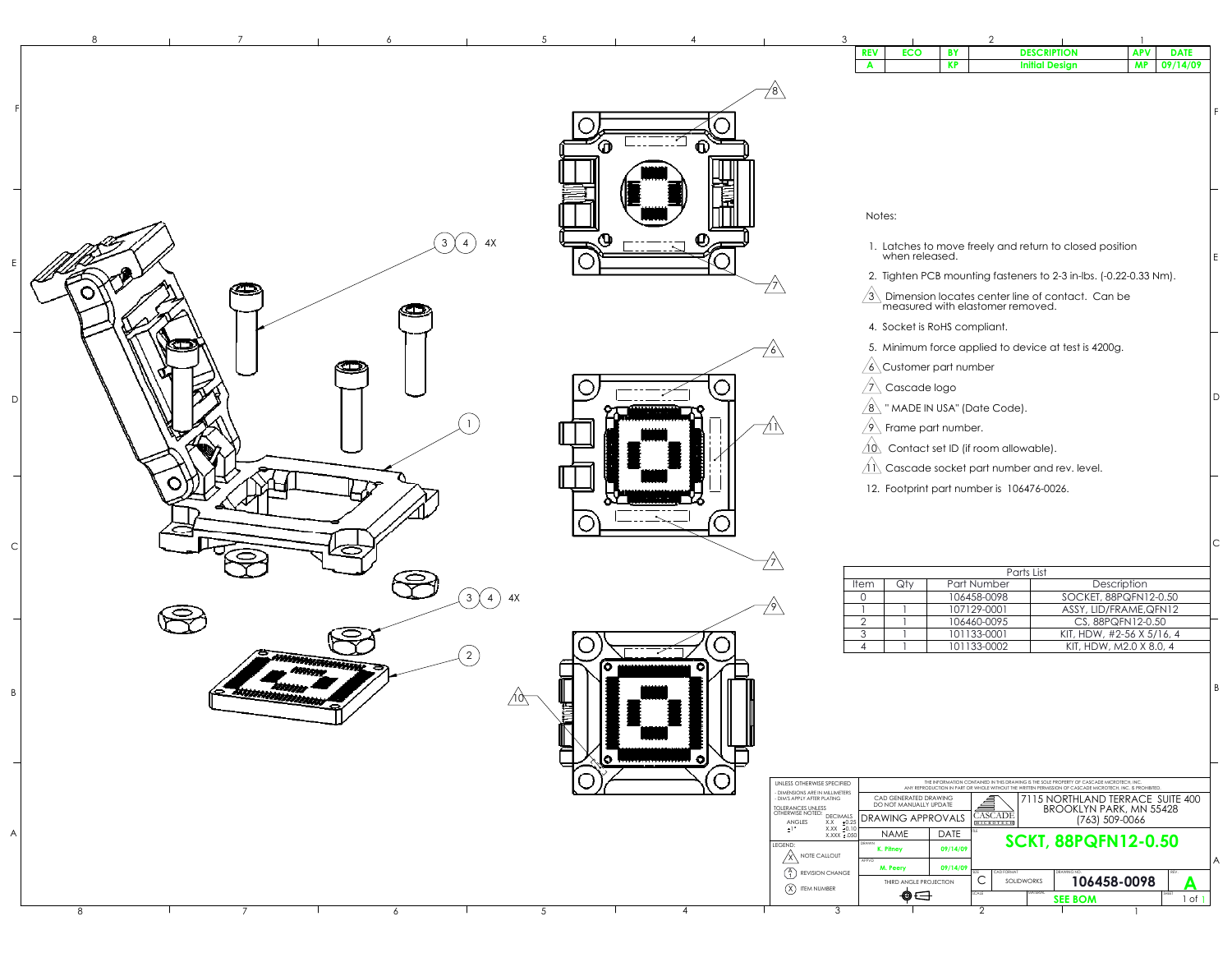|             |     | Parts List  |                           |  |  |  |  |  |
|-------------|-----|-------------|---------------------------|--|--|--|--|--|
| <b>Item</b> | Qtv | Part Number | Description               |  |  |  |  |  |
| 0           |     | 106458-0098 | SOCKET, 88PQFN12-0.50     |  |  |  |  |  |
|             |     | 107129-0001 | ASSY, LID/FRAME, QFN12    |  |  |  |  |  |
| Ω           |     | 106460-0095 | CS, 88PQFN12-0.50         |  |  |  |  |  |
| 3           |     | 101133-0001 | KIT, HDW, #2-56 X 5/16, 4 |  |  |  |  |  |
|             |     | 101133-0002 | KIT, HDW, M2.0 X 8.0, 4   |  |  |  |  |  |

| UNLESS OTHERWISE SPECIFIED                                                                 | THE INFORMATION CONTAINED IN THIS DRAWING IS THE SOLE PROPERTY OF CASCADE MICROTECH. INC.<br>ANY REPRODUCTION IN PART OR WHOLE WITHOUT THE WRITTEN PERMISSION OF CASCADE MICROTECH, INC. IS PROHIBITED. |             |                             |                                                                    |  |  |  |
|--------------------------------------------------------------------------------------------|---------------------------------------------------------------------------------------------------------------------------------------------------------------------------------------------------------|-------------|-----------------------------|--------------------------------------------------------------------|--|--|--|
| - DIMENSIONS ARE IN MILLIMETERS<br>- DIM'S APPLY AFTER PLATING<br><b>TOLERANCES UNLESS</b> | CAD GENERATED DRAWING<br>DO NOT MANUALLY UPDATE                                                                                                                                                         |             |                             | 7115 NORTHLAND TERRACE SUITE 400<br><b>BROOKLYN PARK, MN 55428</b> |  |  |  |
| OTHERWISE NOTED:<br><b>DECIMALS</b><br>±0.25<br>ANGLES<br>X.X                              | <b>DRAWING APPROVALS</b>                                                                                                                                                                                |             | <b>CASCADE</b><br>MICROTECH | (763) 509-0066                                                     |  |  |  |
| $\pm$ 1 $\degree$<br>$X.XX \pm 0.10$<br>$X.XXX \pm .050$                                   | <b>NAME</b>                                                                                                                                                                                             | <b>DATE</b> | TITLE                       |                                                                    |  |  |  |
| LEGEND:<br><b>NOTE CALLOUT</b>                                                             | DRAWN<br>K. Pitney                                                                                                                                                                                      | 09/14/09    | <b>SCKT, 88PQFN12-0.50</b>  |                                                                    |  |  |  |
| $\frac{4}{1}$<br><b>REVISION CHANGE</b>                                                    | APPVD<br>M. Peery                                                                                                                                                                                       | 09/14/09    | SIZE<br><b>CAD FORMAT</b>   | A<br>DRAWING NO.<br>REV.                                           |  |  |  |
| Χ<br><b>ITEM NUMBER</b>                                                                    | THIRD ANGLE PROJECTION                                                                                                                                                                                  |             |                             | 106458-0098<br><b>SOLIDWORKS</b>                                   |  |  |  |
|                                                                                            |                                                                                                                                                                                                         |             | SCALE                       | <b>MATERIAL</b><br>SHEET<br><b>SEE BOM</b><br>_of                  |  |  |  |
|                                                                                            |                                                                                                                                                                                                         |             |                             |                                                                    |  |  |  |

 $\vert$  B

 $|c|$ 

| 3 |                |                              |           | $\overline{2}$                            |                                                                   |            |             |   |
|---|----------------|------------------------------|-----------|-------------------------------------------|-------------------------------------------------------------------|------------|-------------|---|
|   | <b>REV</b>     | <b>ECO</b>                   | <b>BY</b> |                                           | <b>DESCRIPTION</b>                                                | <b>APV</b> | <b>DATE</b> |   |
|   | A              |                              | <b>KP</b> |                                           | <b>Initial Design</b>                                             | <b>MP</b>  | 09/14/09    |   |
| 8 |                |                              |           |                                           |                                                                   |            |             |   |
|   |                |                              |           |                                           |                                                                   |            |             |   |
|   |                |                              |           |                                           |                                                                   |            |             | F |
|   |                |                              |           |                                           |                                                                   |            |             |   |
|   |                |                              |           |                                           |                                                                   |            |             |   |
|   |                |                              |           |                                           |                                                                   |            |             |   |
|   |                |                              |           |                                           |                                                                   |            |             |   |
|   |                |                              |           |                                           |                                                                   |            |             |   |
|   | Notes:         |                              |           |                                           |                                                                   |            |             |   |
|   |                |                              |           |                                           |                                                                   |            |             |   |
|   |                |                              |           |                                           | 1. Latches to move freely and return to closed position           |            |             |   |
|   |                | when released.               |           |                                           |                                                                   |            |             | E |
|   |                |                              |           |                                           | 2. Tighten PCB mounting fasteners to 2-3 in-lbs. (-0.22-0.33 Nm). |            |             |   |
|   |                |                              |           |                                           | Dimension locates center line of contact. Can be                  |            |             |   |
|   |                |                              |           | measured with elastomer removed.          |                                                                   |            |             |   |
|   |                | 4. Socket is RoHS compliant. |           |                                           |                                                                   |            |             |   |
|   |                |                              |           |                                           | 5. Minimum force applied to device at test is 4200g.              |            |             |   |
|   |                | Customer part number         |           |                                           |                                                                   |            |             |   |
|   | $6^{\circ}$    |                              |           |                                           |                                                                   |            |             |   |
|   |                | Cascade logo                 |           |                                           |                                                                   |            |             | D |
|   |                |                              |           | " MADE IN USA" (Date Code).               |                                                                   |            |             |   |
|   |                | Frame part number.           |           |                                           |                                                                   |            |             |   |
|   | $\sqrt{10}$    |                              |           | Contact set ID (if room allowable).       |                                                                   |            |             |   |
|   |                |                              |           |                                           |                                                                   |            |             |   |
|   |                |                              |           |                                           | Cascade socket part number and rev. level.                        |            |             |   |
|   |                |                              |           | 12. Footprint part number is 106476-0026. |                                                                   |            |             |   |
|   |                |                              |           |                                           |                                                                   |            |             |   |
|   |                |                              |           |                                           |                                                                   |            |             |   |
|   |                |                              |           |                                           |                                                                   |            |             | С |
|   |                |                              |           |                                           |                                                                   |            |             |   |
|   |                |                              |           | Parts List                                |                                                                   |            |             |   |
|   | Item           | Qty                          |           | Part Number                               | Description                                                       |            |             |   |
|   | $\overline{0}$ |                              |           | 106458-0098<br>107129-0001                | SOCKET, 88PQFN12-0.50<br>ASSY, LID/FRAME, QFN12                   |            |             |   |
|   | $\overline{2}$ |                              |           | 106460-0095                               | CS, 88PQFN12-0.50                                                 |            |             |   |
|   | 3              |                              |           | 101133-0001                               | KIT, HDW, #2-56 X 5/16, 4                                         |            |             |   |
|   | 4              |                              |           | 101133-0002                               | KIT, HDW, M2.0 X 8.0, 4                                           |            |             |   |
|   |                |                              |           |                                           |                                                                   |            |             |   |
|   |                |                              |           |                                           |                                                                   |            |             |   |
|   |                |                              |           |                                           |                                                                   |            |             |   |

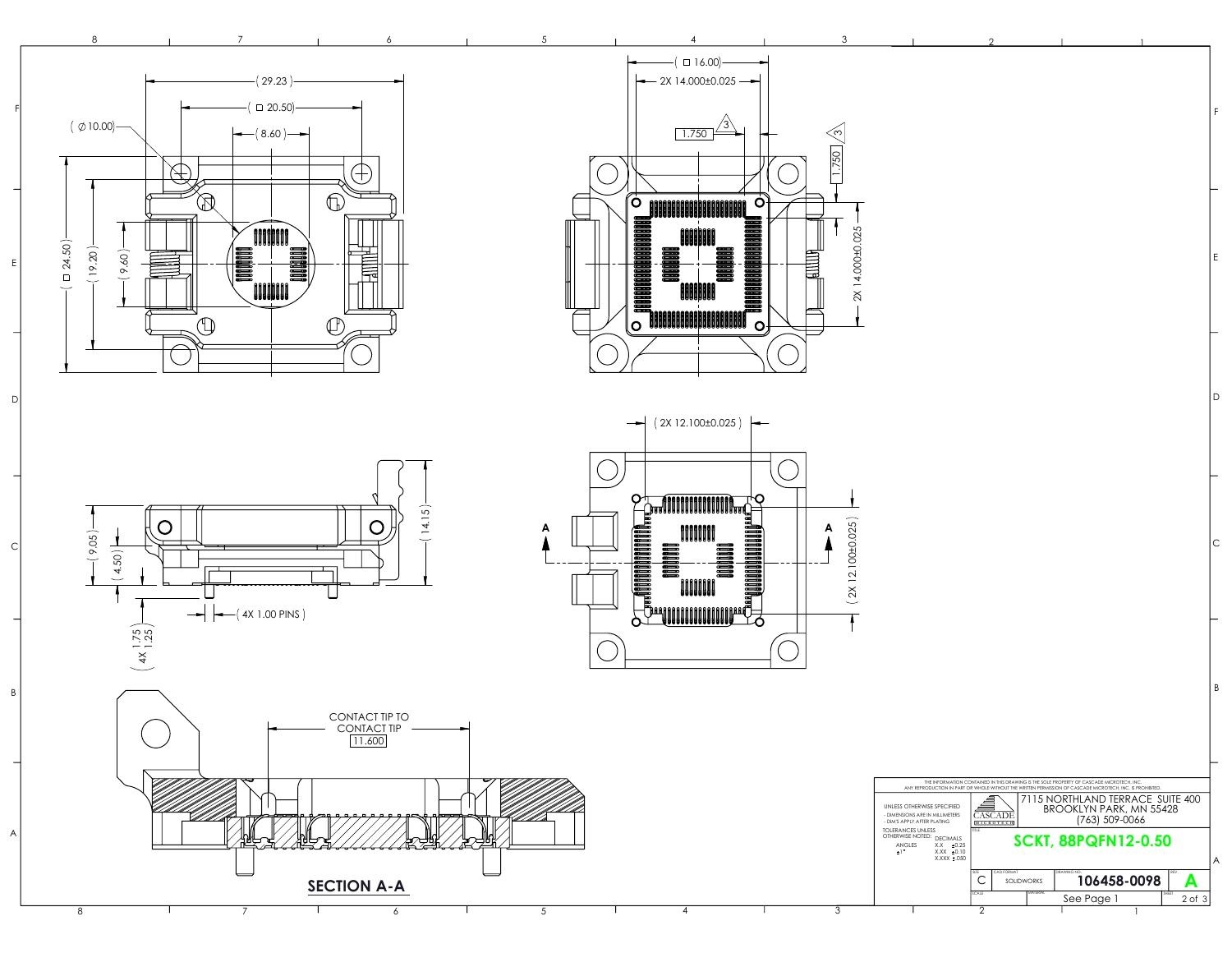